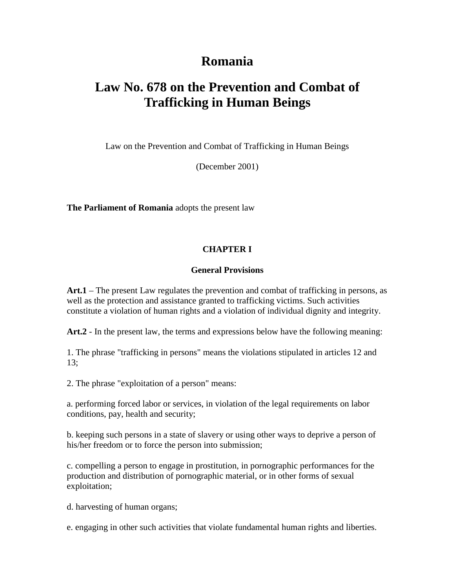# **Romania**

# **Law No. 678 on the Prevention and Combat of Trafficking in Human Beings**

Law on the Prevention and Combat of Trafficking in Human Beings

(December 2001)

**The Parliament of Romania** adopts the present law

#### **CHAPTER I**

#### **General Provisions**

**Art.1** – The present Law regulates the prevention and combat of trafficking in persons, as well as the protection and assistance granted to trafficking victims. Such activities constitute a violation of human rights and a violation of individual dignity and integrity.

**Art.2** - In the present law, the terms and expressions below have the following meaning:

1. The phrase "trafficking in persons" means the violations stipulated in articles 12 and 13;

2. The phrase "exploitation of a person" means:

a. performing forced labor or services, in violation of the legal requirements on labor conditions, pay, health and security;

b. keeping such persons in a state of slavery or using other ways to deprive a person of his/her freedom or to force the person into submission;

c. compelling a person to engage in prostitution, in pornographic performances for the production and distribution of pornographic material, or in other forms of sexual exploitation;

d. harvesting of human organs;

e. engaging in other such activities that violate fundamental human rights and liberties.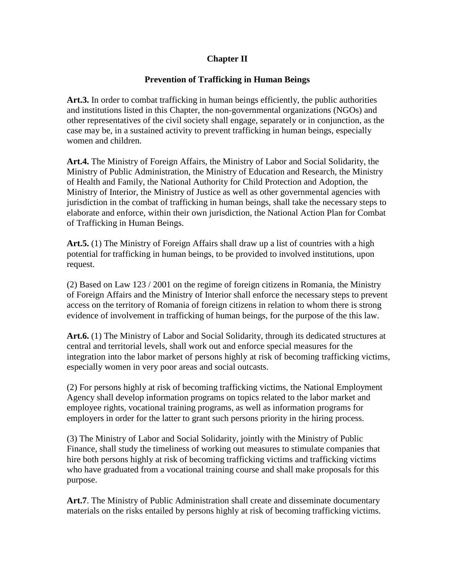#### **Chapter II**

#### **Prevention of Trafficking in Human Beings**

Art.3. In order to combat trafficking in human beings efficiently, the public authorities and institutions listed in this Chapter, the non-governmental organizations (NGOs) and other representatives of the civil society shall engage, separately or in conjunction, as the case may be, in a sustained activity to prevent trafficking in human beings, especially women and children.

**Art.4.** The Ministry of Foreign Affairs, the Ministry of Labor and Social Solidarity, the Ministry of Public Administration, the Ministry of Education and Research, the Ministry of Health and Family, the National Authority for Child Protection and Adoption, the Ministry of Interior, the Ministry of Justice as well as other governmental agencies with jurisdiction in the combat of trafficking in human beings, shall take the necessary steps to elaborate and enforce, within their own jurisdiction, the National Action Plan for Combat of Trafficking in Human Beings.

**Art.5.** (1) The Ministry of Foreign Affairs shall draw up a list of countries with a high potential for trafficking in human beings, to be provided to involved institutions, upon request.

(2) Based on Law 123 / 2001 on the regime of foreign citizens in Romania, the Ministry of Foreign Affairs and the Ministry of Interior shall enforce the necessary steps to prevent access on the territory of Romania of foreign citizens in relation to whom there is strong evidence of involvement in trafficking of human beings, for the purpose of the this law.

**Art.6.** (1) The Ministry of Labor and Social Solidarity, through its dedicated structures at central and territorial levels, shall work out and enforce special measures for the integration into the labor market of persons highly at risk of becoming trafficking victims, especially women in very poor areas and social outcasts.

(2) For persons highly at risk of becoming trafficking victims, the National Employment Agency shall develop information programs on topics related to the labor market and employee rights, vocational training programs, as well as information programs for employers in order for the latter to grant such persons priority in the hiring process.

(3) The Ministry of Labor and Social Solidarity, jointly with the Ministry of Public Finance, shall study the timeliness of working out measures to stimulate companies that hire both persons highly at risk of becoming trafficking victims and trafficking victims who have graduated from a vocational training course and shall make proposals for this purpose.

**Art.7**. The Ministry of Public Administration shall create and disseminate documentary materials on the risks entailed by persons highly at risk of becoming trafficking victims.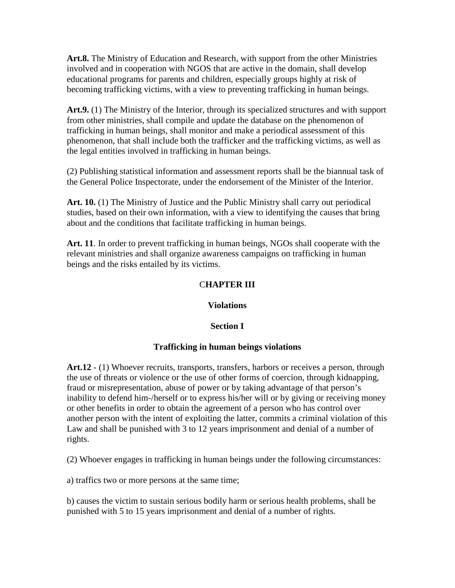**Art.8.** The Ministry of Education and Research, with support from the other Ministries involved and in cooperation with NGOS that are active in the domain, shall develop educational programs for parents and children, especially groups highly at risk of becoming trafficking victims, with a view to preventing trafficking in human beings.

**Art.9.** (1) The Ministry of the Interior, through its specialized structures and with support from other ministries, shall compile and update the database on the phenomenon of trafficking in human beings, shall monitor and make a periodical assessment of this phenomenon, that shall include both the trafficker and the trafficking victims, as well as the legal entities involved in trafficking in human beings.

(2) Publishing statistical information and assessment reports shall be the biannual task of the General Police Inspectorate, under the endorsement of the Minister of the Interior.

**Art. 10.** (1) The Ministry of Justice and the Public Ministry shall carry out periodical studies, based on their own information, with a view to identifying the causes that bring about and the conditions that facilitate trafficking in human beings.

**Art. 11**. In order to prevent trafficking in human beings, NGOs shall cooperate with the relevant ministries and shall organize awareness campaigns on trafficking in human beings and the risks entailed by its victims.

## C**HAPTER III**

#### **Violations**

# **Section I**

# **Trafficking in human beings violations**

**Art.12** - (1) Whoever recruits, transports, transfers, harbors or receives a person, through the use of threats or violence or the use of other forms of coercion, through kidnapping, fraud or misrepresentation, abuse of power or by taking advantage of that person's inability to defend him-/herself or to express his/her will or by giving or receiving money or other benefits in order to obtain the agreement of a person who has control over another person with the intent of exploiting the latter, commits a criminal violation of this Law and shall be punished with 3 to 12 years imprisonment and denial of a number of rights.

(2) Whoever engages in trafficking in human beings under the following circumstances:

a) traffics two or more persons at the same time;

b) causes the victim to sustain serious bodily harm or serious health problems, shall be punished with 5 to 15 years imprisonment and denial of a number of rights.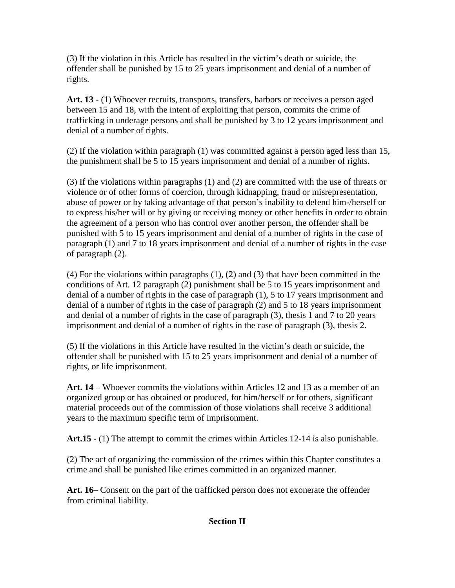(3) If the violation in this Article has resulted in the victim's death or suicide, the offender shall be punished by 15 to 25 years imprisonment and denial of a number of rights.

**Art. 13** - (1) Whoever recruits, transports, transfers, harbors or receives a person aged between 15 and 18, with the intent of exploiting that person, commits the crime of trafficking in underage persons and shall be punished by 3 to 12 years imprisonment and denial of a number of rights.

(2) If the violation within paragraph (1) was committed against a person aged less than 15, the punishment shall be 5 to 15 years imprisonment and denial of a number of rights.

(3) If the violations within paragraphs (1) and (2) are committed with the use of threats or violence or of other forms of coercion, through kidnapping, fraud or misrepresentation, abuse of power or by taking advantage of that person's inability to defend him-/herself or to express his/her will or by giving or receiving money or other benefits in order to obtain the agreement of a person who has control over another person, the offender shall be punished with 5 to 15 years imprisonment and denial of a number of rights in the case of paragraph (1) and 7 to 18 years imprisonment and denial of a number of rights in the case of paragraph (2).

(4) For the violations within paragraphs (1), (2) and (3) that have been committed in the conditions of Art. 12 paragraph (2) punishment shall be 5 to 15 years imprisonment and denial of a number of rights in the case of paragraph (1), 5 to 17 years imprisonment and denial of a number of rights in the case of paragraph (2) and 5 to 18 years imprisonment and denial of a number of rights in the case of paragraph (3), thesis 1 and 7 to 20 years imprisonment and denial of a number of rights in the case of paragraph (3), thesis 2.

(5) If the violations in this Article have resulted in the victim's death or suicide, the offender shall be punished with 15 to 25 years imprisonment and denial of a number of rights, or life imprisonment.

**Art. 14** – Whoever commits the violations within Articles 12 and 13 as a member of an organized group or has obtained or produced, for him/herself or for others, significant material proceeds out of the commission of those violations shall receive 3 additional years to the maximum specific term of imprisonment.

**Art.15** - (1) The attempt to commit the crimes within Articles 12-14 is also punishable.

(2) The act of organizing the commission of the crimes within this Chapter constitutes a crime and shall be punished like crimes committed in an organized manner.

**Art. 16**– Consent on the part of the trafficked person does not exonerate the offender from criminal liability.

# **Section II**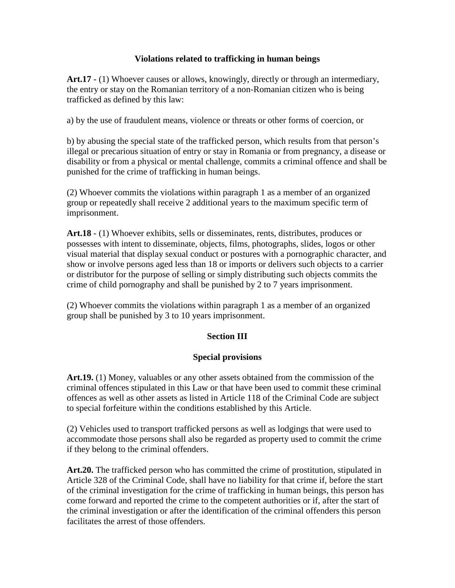#### **Violations related to trafficking in human beings**

**Art.17** - (1) Whoever causes or allows, knowingly, directly or through an intermediary, the entry or stay on the Romanian territory of a non-Romanian citizen who is being trafficked as defined by this law:

a) by the use of fraudulent means, violence or threats or other forms of coercion, or

b) by abusing the special state of the trafficked person, which results from that person's illegal or precarious situation of entry or stay in Romania or from pregnancy, a disease or disability or from a physical or mental challenge, commits a criminal offence and shall be punished for the crime of trafficking in human beings.

(2) Whoever commits the violations within paragraph 1 as a member of an organized group or repeatedly shall receive 2 additional years to the maximum specific term of imprisonment.

**Art.18** - (1) Whoever exhibits, sells or disseminates, rents, distributes, produces or possesses with intent to disseminate, objects, films, photographs, slides, logos or other visual material that display sexual conduct or postures with a pornographic character, and show or involve persons aged less than 18 or imports or delivers such objects to a carrier or distributor for the purpose of selling or simply distributing such objects commits the crime of child pornography and shall be punished by 2 to 7 years imprisonment.

(2) Whoever commits the violations within paragraph 1 as a member of an organized group shall be punished by 3 to 10 years imprisonment.

#### **Section III**

#### **Special provisions**

**Art.19.** (1) Money, valuables or any other assets obtained from the commission of the criminal offences stipulated in this Law or that have been used to commit these criminal offences as well as other assets as listed in Article 118 of the Criminal Code are subject to special forfeiture within the conditions established by this Article.

(2) Vehicles used to transport trafficked persons as well as lodgings that were used to accommodate those persons shall also be regarded as property used to commit the crime if they belong to the criminal offenders.

**Art.20.** The trafficked person who has committed the crime of prostitution, stipulated in Article 328 of the Criminal Code, shall have no liability for that crime if, before the start of the criminal investigation for the crime of trafficking in human beings, this person has come forward and reported the crime to the competent authorities or if, after the start of the criminal investigation or after the identification of the criminal offenders this person facilitates the arrest of those offenders.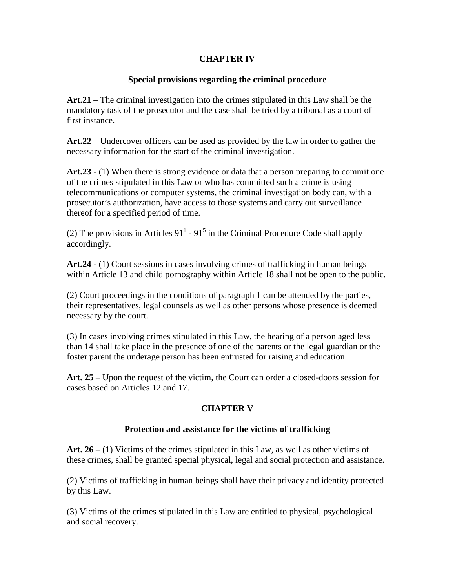#### **CHAPTER IV**

#### **Special provisions regarding the criminal procedure**

**Art.21** – The criminal investigation into the crimes stipulated in this Law shall be the mandatory task of the prosecutor and the case shall be tried by a tribunal as a court of first instance.

**Art.22** – Undercover officers can be used as provided by the law in order to gather the necessary information for the start of the criminal investigation.

**Art.23** - (1) When there is strong evidence or data that a person preparing to commit one of the crimes stipulated in this Law or who has committed such a crime is using telecommunications or computer systems, the criminal investigation body can, with a prosecutor's authorization, have access to those systems and carry out surveillance thereof for a specified period of time.

(2) The provisions in Articles  $91^1$  -  $91^5$  in the Criminal Procedure Code shall apply accordingly.

**Art.24** - (1) Court sessions in cases involving crimes of trafficking in human beings within Article 13 and child pornography within Article 18 shall not be open to the public.

(2) Court proceedings in the conditions of paragraph 1 can be attended by the parties, their representatives, legal counsels as well as other persons whose presence is deemed necessary by the court.

(3) In cases involving crimes stipulated in this Law, the hearing of a person aged less than 14 shall take place in the presence of one of the parents or the legal guardian or the foster parent the underage person has been entrusted for raising and education.

**Art. 25** – Upon the request of the victim, the Court can order a closed-doors session for cases based on Articles 12 and 17.

# **CHAPTER V**

#### **Protection and assistance for the victims of trafficking**

Art. 26 – (1) Victims of the crimes stipulated in this Law, as well as other victims of these crimes, shall be granted special physical, legal and social protection and assistance.

(2) Victims of trafficking in human beings shall have their privacy and identity protected by this Law.

(3) Victims of the crimes stipulated in this Law are entitled to physical, psychological and social recovery.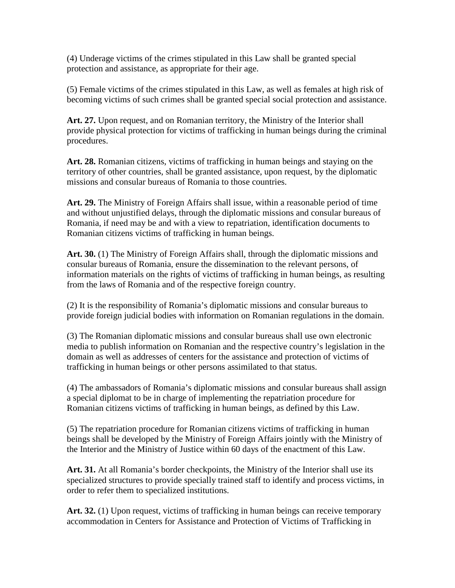(4) Underage victims of the crimes stipulated in this Law shall be granted special protection and assistance, as appropriate for their age.

(5) Female victims of the crimes stipulated in this Law, as well as females at high risk of becoming victims of such crimes shall be granted special social protection and assistance.

Art. 27. Upon request, and on Romanian territory, the Ministry of the Interior shall provide physical protection for victims of trafficking in human beings during the criminal procedures.

**Art. 28.** Romanian citizens, victims of trafficking in human beings and staying on the territory of other countries, shall be granted assistance, upon request, by the diplomatic missions and consular bureaus of Romania to those countries.

**Art. 29.** The Ministry of Foreign Affairs shall issue, within a reasonable period of time and without unjustified delays, through the diplomatic missions and consular bureaus of Romania, if need may be and with a view to repatriation, identification documents to Romanian citizens victims of trafficking in human beings.

Art. 30. (1) The Ministry of Foreign Affairs shall, through the diplomatic missions and consular bureaus of Romania, ensure the dissemination to the relevant persons, of information materials on the rights of victims of trafficking in human beings, as resulting from the laws of Romania and of the respective foreign country.

(2) It is the responsibility of Romania's diplomatic missions and consular bureaus to provide foreign judicial bodies with information on Romanian regulations in the domain.

(3) The Romanian diplomatic missions and consular bureaus shall use own electronic media to publish information on Romanian and the respective country's legislation in the domain as well as addresses of centers for the assistance and protection of victims of trafficking in human beings or other persons assimilated to that status.

(4) The ambassadors of Romania's diplomatic missions and consular bureaus shall assign a special diplomat to be in charge of implementing the repatriation procedure for Romanian citizens victims of trafficking in human beings, as defined by this Law.

(5) The repatriation procedure for Romanian citizens victims of trafficking in human beings shall be developed by the Ministry of Foreign Affairs jointly with the Ministry of the Interior and the Ministry of Justice within 60 days of the enactment of this Law.

**Art. 31.** At all Romania's border checkpoints, the Ministry of the Interior shall use its specialized structures to provide specially trained staff to identify and process victims, in order to refer them to specialized institutions.

**Art. 32.** (1) Upon request, victims of trafficking in human beings can receive temporary accommodation in Centers for Assistance and Protection of Victims of Trafficking in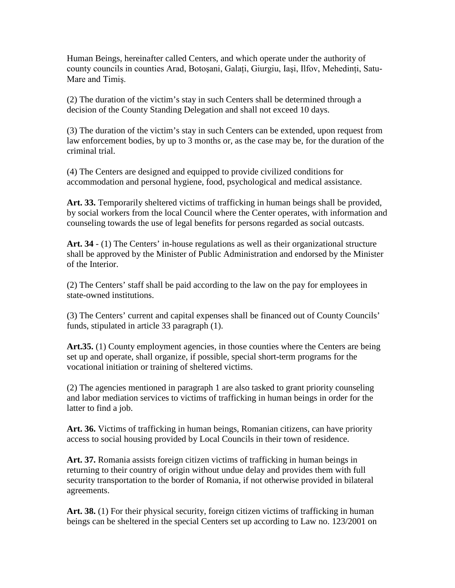Human Beings, hereinafter called Centers, and which operate under the authority of county councils in counties Arad, Botosani, Galați, Giurgiu, Iași, Ilfov, Mehedinți, Satu-Mare and Timiş.

(2) The duration of the victim's stay in such Centers shall be determined through a decision of the County Standing Delegation and shall not exceed 10 days.

(3) The duration of the victim's stay in such Centers can be extended, upon request from law enforcement bodies, by up to 3 months or, as the case may be, for the duration of the criminal trial.

(4) The Centers are designed and equipped to provide civilized conditions for accommodation and personal hygiene, food, psychological and medical assistance.

Art. 33. Temporarily sheltered victims of trafficking in human beings shall be provided, by social workers from the local Council where the Center operates, with information and counseling towards the use of legal benefits for persons regarded as social outcasts.

Art. 34  $-$  (1) The Centers' in-house regulations as well as their organizational structure shall be approved by the Minister of Public Administration and endorsed by the Minister of the Interior.

(2) The Centers' staff shall be paid according to the law on the pay for employees in state-owned institutions.

(3) The Centers' current and capital expenses shall be financed out of County Councils' funds, stipulated in article 33 paragraph (1).

Art.35. (1) County employment agencies, in those counties where the Centers are being set up and operate, shall organize, if possible, special short-term programs for the vocational initiation or training of sheltered victims.

(2) The agencies mentioned in paragraph 1 are also tasked to grant priority counseling and labor mediation services to victims of trafficking in human beings in order for the latter to find a job.

**Art. 36.** Victims of trafficking in human beings, Romanian citizens, can have priority access to social housing provided by Local Councils in their town of residence.

**Art. 37.** Romania assists foreign citizen victims of trafficking in human beings in returning to their country of origin without undue delay and provides them with full security transportation to the border of Romania, if not otherwise provided in bilateral agreements.

Art. 38. (1) For their physical security, foreign citizen victims of trafficking in human beings can be sheltered in the special Centers set up according to Law no. 123/2001 on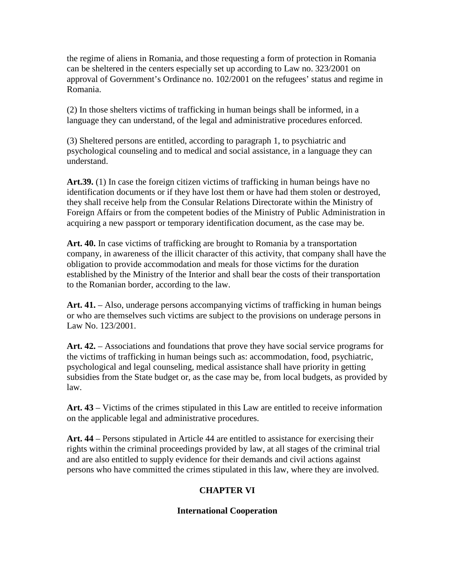the regime of aliens in Romania, and those requesting a form of protection in Romania can be sheltered in the centers especially set up according to Law no. 323/2001 on approval of Government's Ordinance no. 102/2001 on the refugees' status and regime in Romania.

(2) In those shelters victims of trafficking in human beings shall be informed, in a language they can understand, of the legal and administrative procedures enforced.

(3) Sheltered persons are entitled, according to paragraph 1, to psychiatric and psychological counseling and to medical and social assistance, in a language they can understand.

**Art.39.** (1) In case the foreign citizen victims of trafficking in human beings have no identification documents or if they have lost them or have had them stolen or destroyed, they shall receive help from the Consular Relations Directorate within the Ministry of Foreign Affairs or from the competent bodies of the Ministry of Public Administration in acquiring a new passport or temporary identification document, as the case may be.

**Art. 40.** In case victims of trafficking are brought to Romania by a transportation company, in awareness of the illicit character of this activity, that company shall have the obligation to provide accommodation and meals for those victims for the duration established by the Ministry of the Interior and shall bear the costs of their transportation to the Romanian border, according to the law.

**Art. 41.** – Also, underage persons accompanying victims of trafficking in human beings or who are themselves such victims are subject to the provisions on underage persons in Law No. 123/2001.

Art. 42. – Associations and foundations that prove they have social service programs for the victims of trafficking in human beings such as: accommodation, food, psychiatric, psychological and legal counseling, medical assistance shall have priority in getting subsidies from the State budget or, as the case may be, from local budgets, as provided by law.

**Art. 43** – Victims of the crimes stipulated in this Law are entitled to receive information on the applicable legal and administrative procedures.

**Art. 44** – Persons stipulated in Article 44 are entitled to assistance for exercising their rights within the criminal proceedings provided by law, at all stages of the criminal trial and are also entitled to supply evidence for their demands and civil actions against persons who have committed the crimes stipulated in this law, where they are involved.

# **CHAPTER VI**

# **International Cooperation**